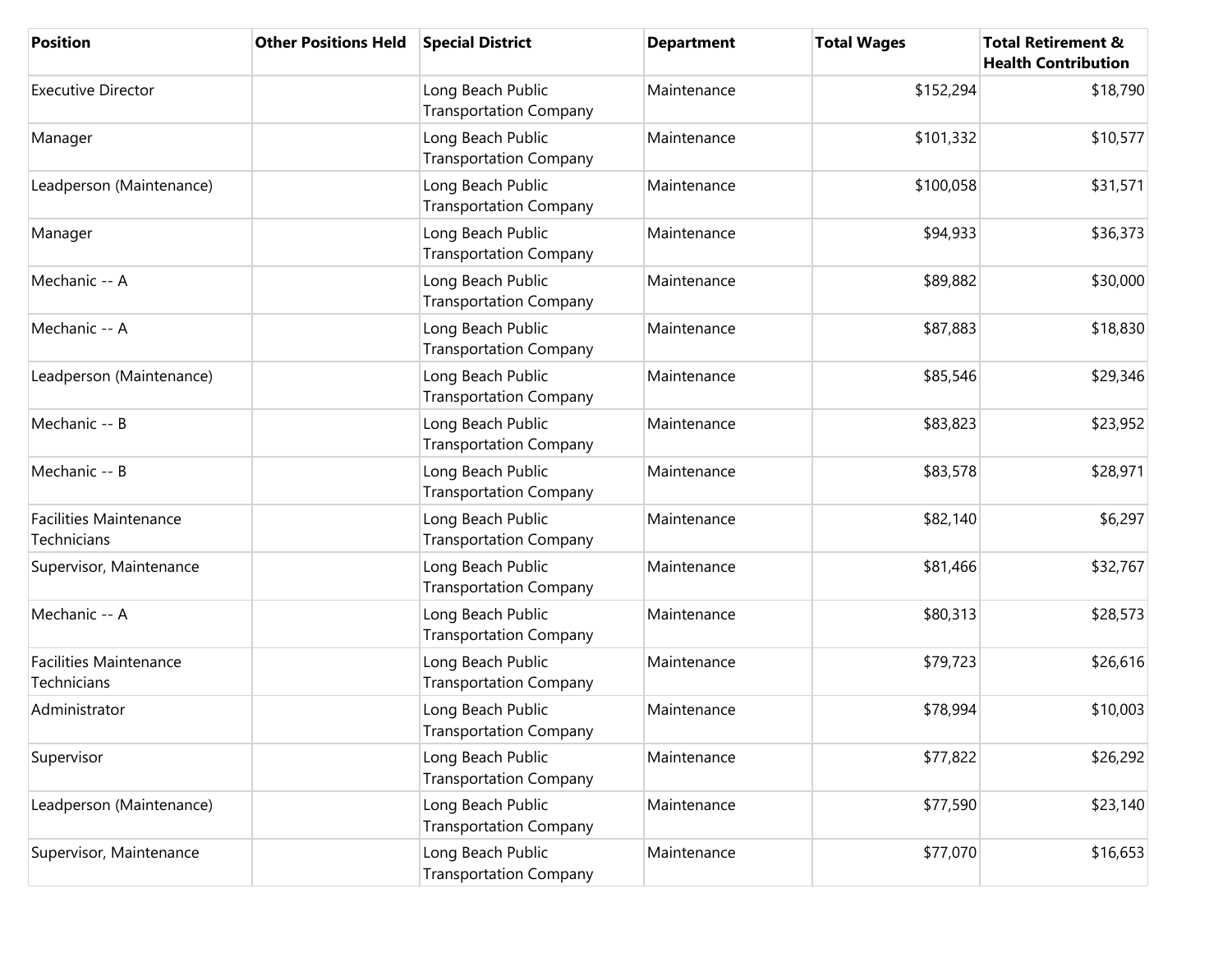| <b>Position</b>                              | <b>Other Positions Held</b> | <b>Special District</b>                            | <b>Department</b> | <b>Total Wages</b> | <b>Total Retirement &amp;</b><br><b>Health Contribution</b> |
|----------------------------------------------|-----------------------------|----------------------------------------------------|-------------------|--------------------|-------------------------------------------------------------|
| <b>Executive Director</b>                    |                             | Long Beach Public<br><b>Transportation Company</b> | Maintenance       | \$152,294          | \$18,790                                                    |
| Manager                                      |                             | Long Beach Public<br><b>Transportation Company</b> | Maintenance       | \$101,332          | \$10,577                                                    |
| Leadperson (Maintenance)                     |                             | Long Beach Public<br><b>Transportation Company</b> | Maintenance       | \$100,058          | \$31,571                                                    |
| Manager                                      |                             | Long Beach Public<br><b>Transportation Company</b> | Maintenance       | \$94,933           | \$36,373                                                    |
| Mechanic -- A                                |                             | Long Beach Public<br><b>Transportation Company</b> | Maintenance       | \$89,882           | \$30,000                                                    |
| Mechanic -- A                                |                             | Long Beach Public<br><b>Transportation Company</b> | Maintenance       | \$87,883           | \$18,830                                                    |
| Leadperson (Maintenance)                     |                             | Long Beach Public<br><b>Transportation Company</b> | Maintenance       | \$85,546           | \$29,346                                                    |
| Mechanic -- B                                |                             | Long Beach Public<br><b>Transportation Company</b> | Maintenance       | \$83,823           | \$23,952                                                    |
| Mechanic -- B                                |                             | Long Beach Public<br><b>Transportation Company</b> | Maintenance       | \$83,578           | \$28,971                                                    |
| <b>Facilities Maintenance</b><br>Technicians |                             | Long Beach Public<br><b>Transportation Company</b> | Maintenance       | \$82,140           | \$6,297                                                     |
| Supervisor, Maintenance                      |                             | Long Beach Public<br><b>Transportation Company</b> | Maintenance       | \$81,466           | \$32,767                                                    |
| Mechanic -- A                                |                             | Long Beach Public<br><b>Transportation Company</b> | Maintenance       | \$80,313           | \$28,573                                                    |
| <b>Facilities Maintenance</b><br>Technicians |                             | Long Beach Public<br><b>Transportation Company</b> | Maintenance       | \$79,723           | \$26,616                                                    |
| Administrator                                |                             | Long Beach Public<br><b>Transportation Company</b> | Maintenance       | \$78,994           | \$10,003                                                    |
| Supervisor                                   |                             | Long Beach Public<br><b>Transportation Company</b> | Maintenance       | \$77,822           | \$26,292                                                    |
| Leadperson (Maintenance)                     |                             | Long Beach Public<br><b>Transportation Company</b> | Maintenance       | \$77,590           | \$23,140                                                    |
| Supervisor, Maintenance                      |                             | Long Beach Public<br><b>Transportation Company</b> | Maintenance       | \$77,070           | \$16,653                                                    |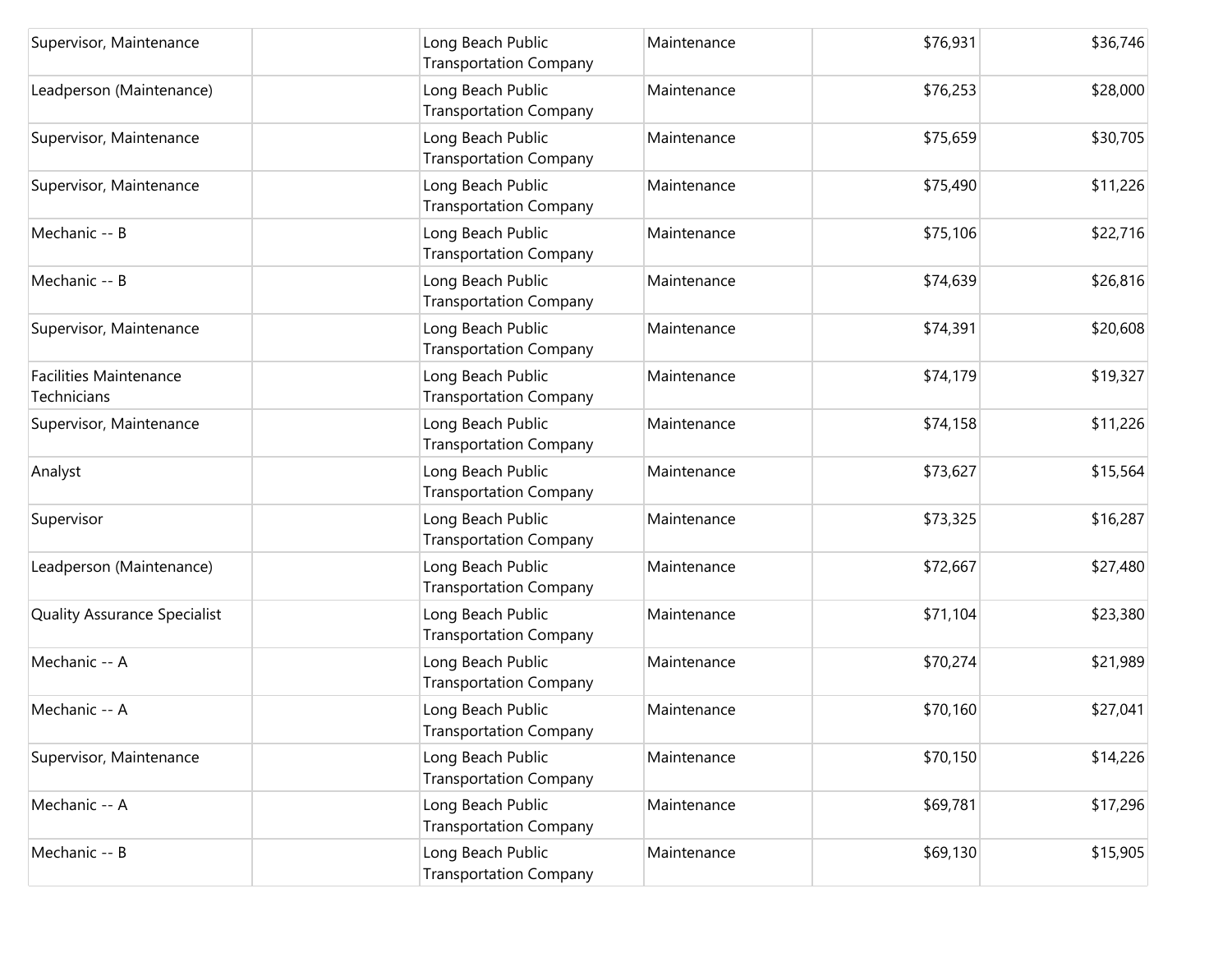| Supervisor, Maintenance                      | Long Beach Public<br><b>Transportation Company</b> | Maintenance | \$76,931 | \$36,746 |
|----------------------------------------------|----------------------------------------------------|-------------|----------|----------|
| Leadperson (Maintenance)                     | Long Beach Public<br><b>Transportation Company</b> | Maintenance | \$76,253 | \$28,000 |
| Supervisor, Maintenance                      | Long Beach Public<br><b>Transportation Company</b> | Maintenance | \$75,659 | \$30,705 |
| Supervisor, Maintenance                      | Long Beach Public<br><b>Transportation Company</b> | Maintenance | \$75,490 | \$11,226 |
| Mechanic -- B                                | Long Beach Public<br><b>Transportation Company</b> | Maintenance | \$75,106 | \$22,716 |
| Mechanic -- B                                | Long Beach Public<br><b>Transportation Company</b> | Maintenance | \$74,639 | \$26,816 |
| Supervisor, Maintenance                      | Long Beach Public<br><b>Transportation Company</b> | Maintenance | \$74,391 | \$20,608 |
| <b>Facilities Maintenance</b><br>Technicians | Long Beach Public<br><b>Transportation Company</b> | Maintenance | \$74,179 | \$19,327 |
| Supervisor, Maintenance                      | Long Beach Public<br><b>Transportation Company</b> | Maintenance | \$74,158 | \$11,226 |
| Analyst                                      | Long Beach Public<br><b>Transportation Company</b> | Maintenance | \$73,627 | \$15,564 |
| Supervisor                                   | Long Beach Public<br><b>Transportation Company</b> | Maintenance | \$73,325 | \$16,287 |
| Leadperson (Maintenance)                     | Long Beach Public<br><b>Transportation Company</b> | Maintenance | \$72,667 | \$27,480 |
| <b>Quality Assurance Specialist</b>          | Long Beach Public<br><b>Transportation Company</b> | Maintenance | \$71,104 | \$23,380 |
| Mechanic -- A                                | Long Beach Public<br><b>Transportation Company</b> | Maintenance | \$70,274 | \$21,989 |
| Mechanic -- A                                | Long Beach Public<br>Transportation Company        | Maintenance | \$70,160 | \$27,041 |
| Supervisor, Maintenance                      | Long Beach Public<br><b>Transportation Company</b> | Maintenance | \$70,150 | \$14,226 |
| Mechanic -- A                                | Long Beach Public<br><b>Transportation Company</b> | Maintenance | \$69,781 | \$17,296 |
| Mechanic -- B                                | Long Beach Public<br><b>Transportation Company</b> | Maintenance | \$69,130 | \$15,905 |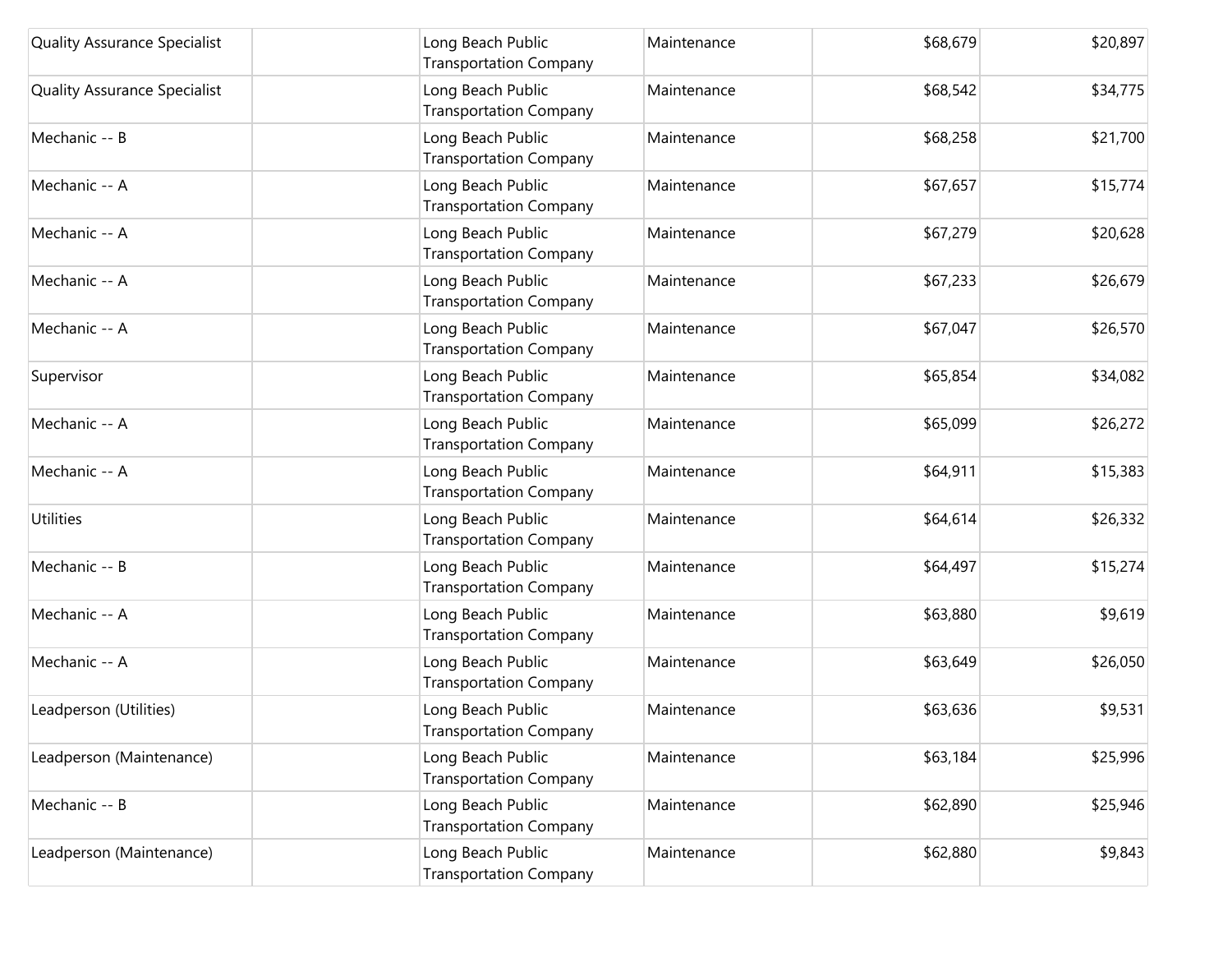| <b>Quality Assurance Specialist</b> | Long Beach Public<br><b>Transportation Company</b> | Maintenance | \$68,679 | \$20,897 |
|-------------------------------------|----------------------------------------------------|-------------|----------|----------|
| <b>Quality Assurance Specialist</b> | Long Beach Public<br><b>Transportation Company</b> | Maintenance | \$68,542 | \$34,775 |
| Mechanic -- B                       | Long Beach Public<br><b>Transportation Company</b> | Maintenance | \$68,258 | \$21,700 |
| Mechanic -- A                       | Long Beach Public<br><b>Transportation Company</b> | Maintenance | \$67,657 | \$15,774 |
| Mechanic -- A                       | Long Beach Public<br><b>Transportation Company</b> | Maintenance | \$67,279 | \$20,628 |
| Mechanic -- A                       | Long Beach Public<br><b>Transportation Company</b> | Maintenance | \$67,233 | \$26,679 |
| Mechanic -- A                       | Long Beach Public<br><b>Transportation Company</b> | Maintenance | \$67,047 | \$26,570 |
| Supervisor                          | Long Beach Public<br><b>Transportation Company</b> | Maintenance | \$65,854 | \$34,082 |
| Mechanic -- A                       | Long Beach Public<br><b>Transportation Company</b> | Maintenance | \$65,099 | \$26,272 |
| Mechanic -- A                       | Long Beach Public<br><b>Transportation Company</b> | Maintenance | \$64,911 | \$15,383 |
| <b>Utilities</b>                    | Long Beach Public<br><b>Transportation Company</b> | Maintenance | \$64,614 | \$26,332 |
| Mechanic -- B                       | Long Beach Public<br><b>Transportation Company</b> | Maintenance | \$64,497 | \$15,274 |
| Mechanic -- A                       | Long Beach Public<br><b>Transportation Company</b> | Maintenance | \$63,880 | \$9,619  |
| Mechanic -- A                       | Long Beach Public<br><b>Transportation Company</b> | Maintenance | \$63,649 | \$26,050 |
| Leadperson (Utilities)              | Long Beach Public<br><b>Transportation Company</b> | Maintenance | \$63,636 | \$9,531  |
| Leadperson (Maintenance)            | Long Beach Public<br><b>Transportation Company</b> | Maintenance | \$63,184 | \$25,996 |
| Mechanic -- B                       | Long Beach Public<br><b>Transportation Company</b> | Maintenance | \$62,890 | \$25,946 |
| Leadperson (Maintenance)            | Long Beach Public<br><b>Transportation Company</b> | Maintenance | \$62,880 | \$9,843  |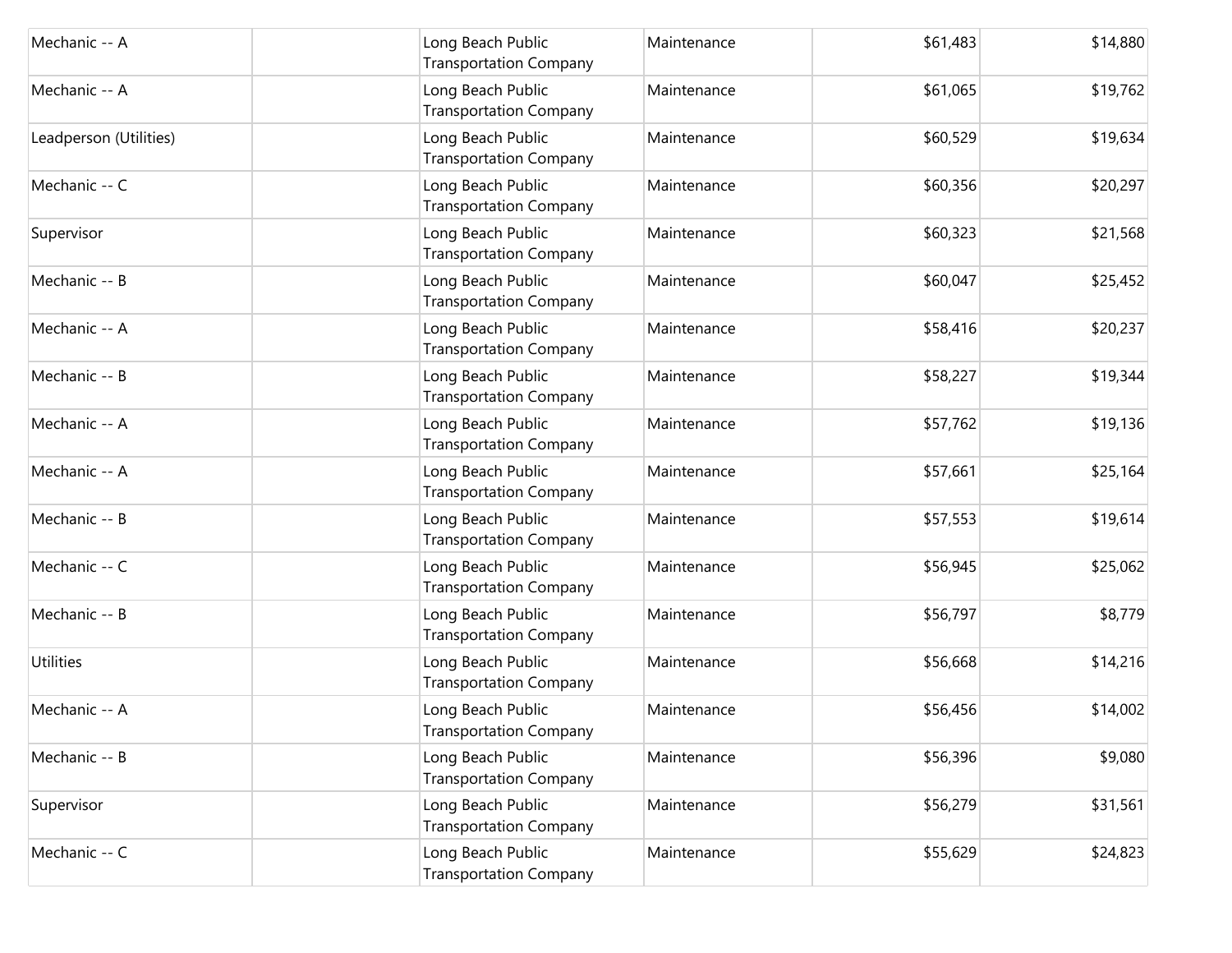| Mechanic -- A          | Long Beach Public<br><b>Transportation Company</b> | Maintenance | \$61,483 | \$14,880 |
|------------------------|----------------------------------------------------|-------------|----------|----------|
| Mechanic -- A          | Long Beach Public<br><b>Transportation Company</b> | Maintenance | \$61,065 | \$19,762 |
| Leadperson (Utilities) | Long Beach Public<br><b>Transportation Company</b> | Maintenance | \$60,529 | \$19,634 |
| Mechanic -- C          | Long Beach Public<br><b>Transportation Company</b> | Maintenance | \$60,356 | \$20,297 |
| Supervisor             | Long Beach Public<br><b>Transportation Company</b> | Maintenance | \$60,323 | \$21,568 |
| Mechanic -- B          | Long Beach Public<br><b>Transportation Company</b> | Maintenance | \$60,047 | \$25,452 |
| Mechanic -- A          | Long Beach Public<br><b>Transportation Company</b> | Maintenance | \$58,416 | \$20,237 |
| Mechanic -- B          | Long Beach Public<br><b>Transportation Company</b> | Maintenance | \$58,227 | \$19,344 |
| Mechanic -- A          | Long Beach Public<br><b>Transportation Company</b> | Maintenance | \$57,762 | \$19,136 |
| Mechanic -- A          | Long Beach Public<br><b>Transportation Company</b> | Maintenance | \$57,661 | \$25,164 |
| Mechanic -- B          | Long Beach Public<br><b>Transportation Company</b> | Maintenance | \$57,553 | \$19,614 |
| Mechanic -- C          | Long Beach Public<br><b>Transportation Company</b> | Maintenance | \$56,945 | \$25,062 |
| Mechanic -- B          | Long Beach Public<br><b>Transportation Company</b> | Maintenance | \$56,797 | \$8,779  |
| <b>Utilities</b>       | Long Beach Public<br><b>Transportation Company</b> | Maintenance | \$56,668 | \$14,216 |
| Mechanic -- A          | Long Beach Public<br>Transportation Company        | Maintenance | \$56,456 | \$14,002 |
| Mechanic -- B          | Long Beach Public<br><b>Transportation Company</b> | Maintenance | \$56,396 | \$9,080  |
| Supervisor             | Long Beach Public<br><b>Transportation Company</b> | Maintenance | \$56,279 | \$31,561 |
| Mechanic -- C          | Long Beach Public<br><b>Transportation Company</b> | Maintenance | \$55,629 | \$24,823 |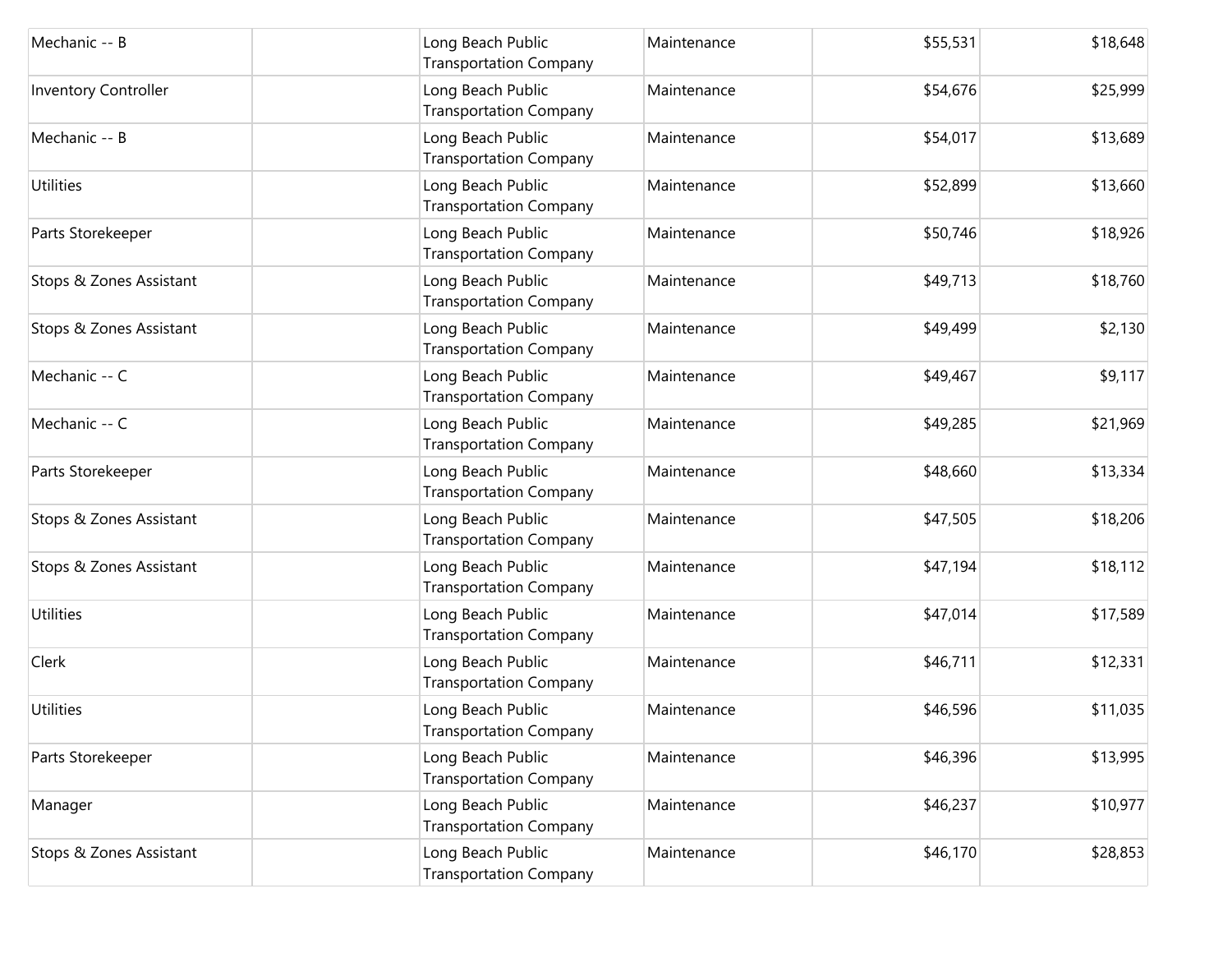| Mechanic -- B               | Long Beach Public<br><b>Transportation Company</b> | Maintenance | \$55,531 | \$18,648 |
|-----------------------------|----------------------------------------------------|-------------|----------|----------|
| <b>Inventory Controller</b> | Long Beach Public<br><b>Transportation Company</b> | Maintenance | \$54,676 | \$25,999 |
| Mechanic -- B               | Long Beach Public<br><b>Transportation Company</b> | Maintenance | \$54,017 | \$13,689 |
| Utilities                   | Long Beach Public<br><b>Transportation Company</b> | Maintenance | \$52,899 | \$13,660 |
| Parts Storekeeper           | Long Beach Public<br><b>Transportation Company</b> | Maintenance | \$50,746 | \$18,926 |
| Stops & Zones Assistant     | Long Beach Public<br><b>Transportation Company</b> | Maintenance | \$49,713 | \$18,760 |
| Stops & Zones Assistant     | Long Beach Public<br><b>Transportation Company</b> | Maintenance | \$49,499 | \$2,130  |
| Mechanic -- C               | Long Beach Public<br><b>Transportation Company</b> | Maintenance | \$49,467 | \$9,117  |
| Mechanic -- C               | Long Beach Public<br><b>Transportation Company</b> | Maintenance | \$49,285 | \$21,969 |
| Parts Storekeeper           | Long Beach Public<br><b>Transportation Company</b> | Maintenance | \$48,660 | \$13,334 |
| Stops & Zones Assistant     | Long Beach Public<br><b>Transportation Company</b> | Maintenance | \$47,505 | \$18,206 |
| Stops & Zones Assistant     | Long Beach Public<br><b>Transportation Company</b> | Maintenance | \$47,194 | \$18,112 |
| <b>Utilities</b>            | Long Beach Public<br><b>Transportation Company</b> | Maintenance | \$47,014 | \$17,589 |
| Clerk                       | Long Beach Public<br><b>Transportation Company</b> | Maintenance | \$46,711 | \$12,331 |
| <b>Utilities</b>            | Long Beach Public<br><b>Transportation Company</b> | Maintenance | \$46,596 | \$11,035 |
| Parts Storekeeper           | Long Beach Public<br><b>Transportation Company</b> | Maintenance | \$46,396 | \$13,995 |
| Manager                     | Long Beach Public<br><b>Transportation Company</b> | Maintenance | \$46,237 | \$10,977 |
| Stops & Zones Assistant     | Long Beach Public<br><b>Transportation Company</b> | Maintenance | \$46,170 | \$28,853 |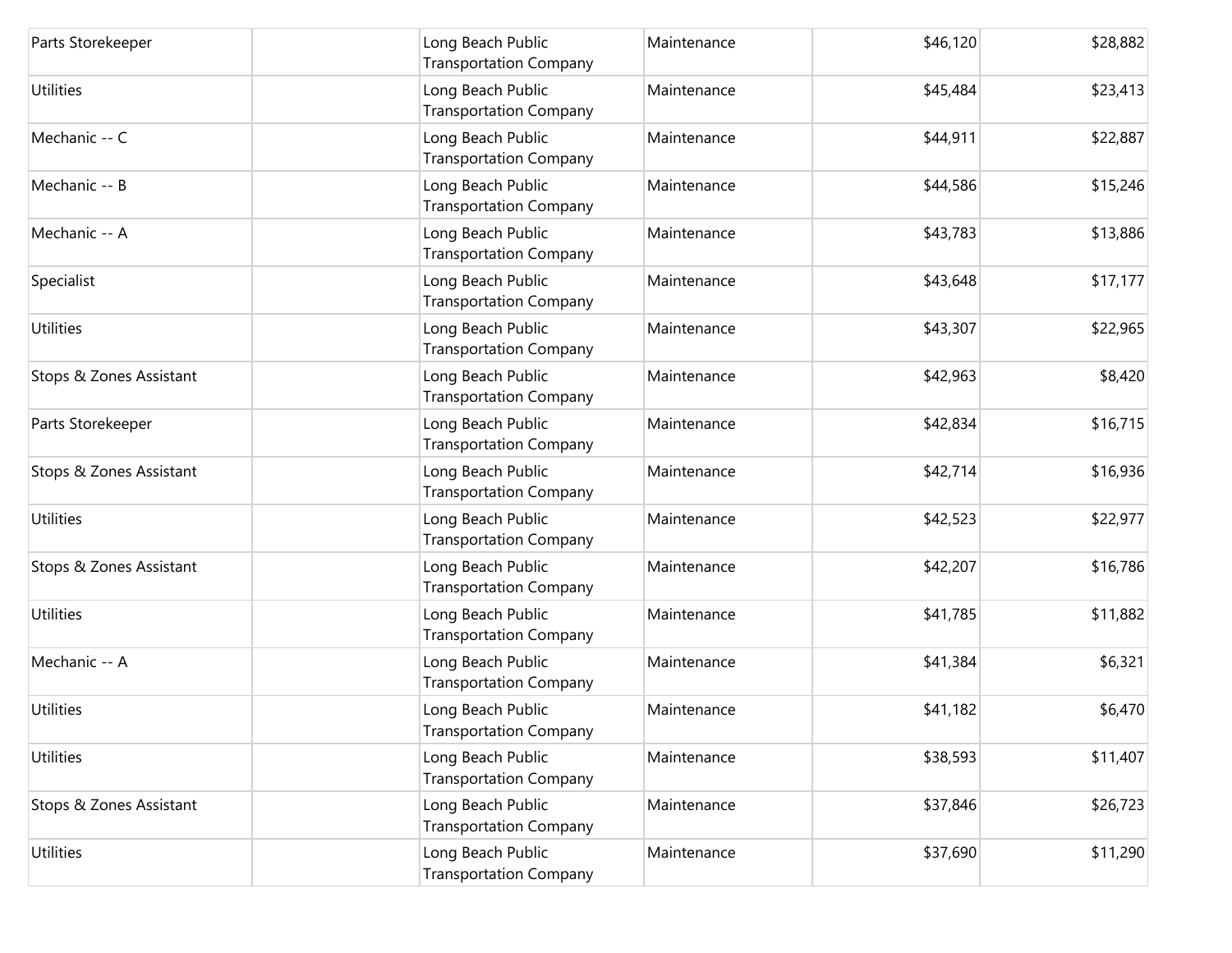| Parts Storekeeper       | Long Beach Public<br><b>Transportation Company</b> | Maintenance | \$46,120 | \$28,882 |
|-------------------------|----------------------------------------------------|-------------|----------|----------|
| Utilities               | Long Beach Public<br><b>Transportation Company</b> | Maintenance | \$45,484 | \$23,413 |
| Mechanic -- C           | Long Beach Public<br><b>Transportation Company</b> | Maintenance | \$44,911 | \$22,887 |
| Mechanic -- B           | Long Beach Public<br><b>Transportation Company</b> | Maintenance | \$44,586 | \$15,246 |
| Mechanic -- A           | Long Beach Public<br><b>Transportation Company</b> | Maintenance | \$43,783 | \$13,886 |
| Specialist              | Long Beach Public<br><b>Transportation Company</b> | Maintenance | \$43,648 | \$17,177 |
| Utilities               | Long Beach Public<br><b>Transportation Company</b> | Maintenance | \$43,307 | \$22,965 |
| Stops & Zones Assistant | Long Beach Public<br><b>Transportation Company</b> | Maintenance | \$42,963 | \$8,420  |
| Parts Storekeeper       | Long Beach Public<br><b>Transportation Company</b> | Maintenance | \$42,834 | \$16,715 |
| Stops & Zones Assistant | Long Beach Public<br><b>Transportation Company</b> | Maintenance | \$42,714 | \$16,936 |
| Utilities               | Long Beach Public<br><b>Transportation Company</b> | Maintenance | \$42,523 | \$22,977 |
| Stops & Zones Assistant | Long Beach Public<br><b>Transportation Company</b> | Maintenance | \$42,207 | \$16,786 |
| Utilities               | Long Beach Public<br><b>Transportation Company</b> | Maintenance | \$41,785 | \$11,882 |
| Mechanic -- A           | Long Beach Public<br><b>Transportation Company</b> | Maintenance | \$41,384 | \$6,321  |
| <b>Utilities</b>        | Long Beach Public<br>Transportation Company        | Maintenance | \$41,182 | \$6,470  |
| <b>Utilities</b>        | Long Beach Public<br><b>Transportation Company</b> | Maintenance | \$38,593 | \$11,407 |
| Stops & Zones Assistant | Long Beach Public<br><b>Transportation Company</b> | Maintenance | \$37,846 | \$26,723 |
| Utilities               | Long Beach Public<br><b>Transportation Company</b> | Maintenance | \$37,690 | \$11,290 |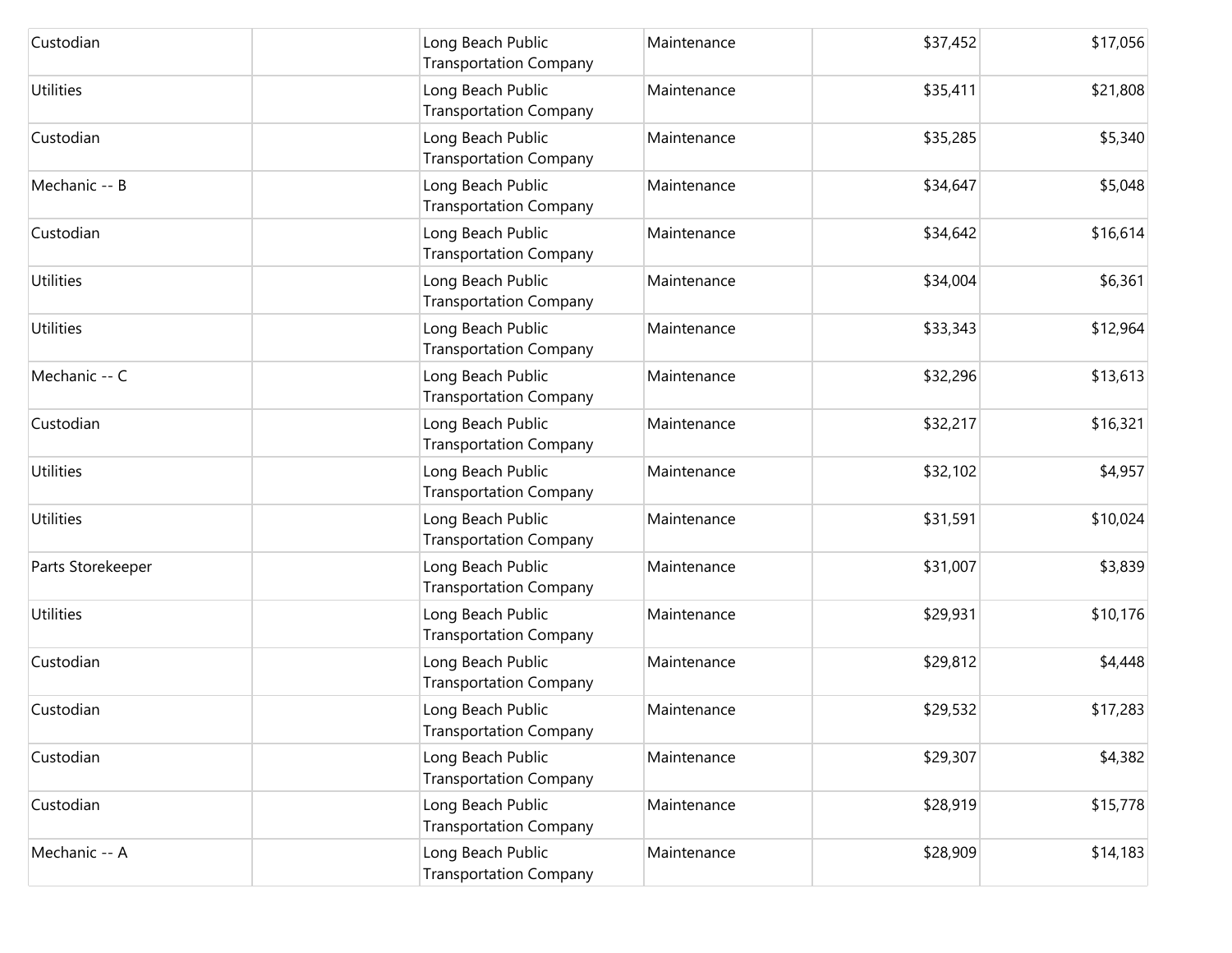| Custodian         | Long Beach Public<br><b>Transportation Company</b> | Maintenance | \$37,452 | \$17,056 |
|-------------------|----------------------------------------------------|-------------|----------|----------|
| Utilities         | Long Beach Public<br><b>Transportation Company</b> | Maintenance | \$35,411 | \$21,808 |
| Custodian         | Long Beach Public<br><b>Transportation Company</b> | Maintenance | \$35,285 | \$5,340  |
| Mechanic -- B     | Long Beach Public<br><b>Transportation Company</b> | Maintenance | \$34,647 | \$5,048  |
| Custodian         | Long Beach Public<br><b>Transportation Company</b> | Maintenance | \$34,642 | \$16,614 |
| <b>Utilities</b>  | Long Beach Public<br><b>Transportation Company</b> | Maintenance | \$34,004 | \$6,361  |
| Utilities         | Long Beach Public<br><b>Transportation Company</b> | Maintenance | \$33,343 | \$12,964 |
| Mechanic -- C     | Long Beach Public<br><b>Transportation Company</b> | Maintenance | \$32,296 | \$13,613 |
| Custodian         | Long Beach Public<br><b>Transportation Company</b> | Maintenance | \$32,217 | \$16,321 |
| <b>Utilities</b>  | Long Beach Public<br><b>Transportation Company</b> | Maintenance | \$32,102 | \$4,957  |
| Utilities         | Long Beach Public<br><b>Transportation Company</b> | Maintenance | \$31,591 | \$10,024 |
| Parts Storekeeper | Long Beach Public<br><b>Transportation Company</b> | Maintenance | \$31,007 | \$3,839  |
| <b>Utilities</b>  | Long Beach Public<br><b>Transportation Company</b> | Maintenance | \$29,931 | \$10,176 |
| Custodian         | Long Beach Public<br><b>Transportation Company</b> | Maintenance | \$29,812 | \$4,448  |
| Custodian         | Long Beach Public<br><b>Transportation Company</b> | Maintenance | \$29,532 | \$17,283 |
| Custodian         | Long Beach Public<br><b>Transportation Company</b> | Maintenance | \$29,307 | \$4,382  |
| Custodian         | Long Beach Public<br><b>Transportation Company</b> | Maintenance | \$28,919 | \$15,778 |
| Mechanic -- A     | Long Beach Public<br><b>Transportation Company</b> | Maintenance | \$28,909 | \$14,183 |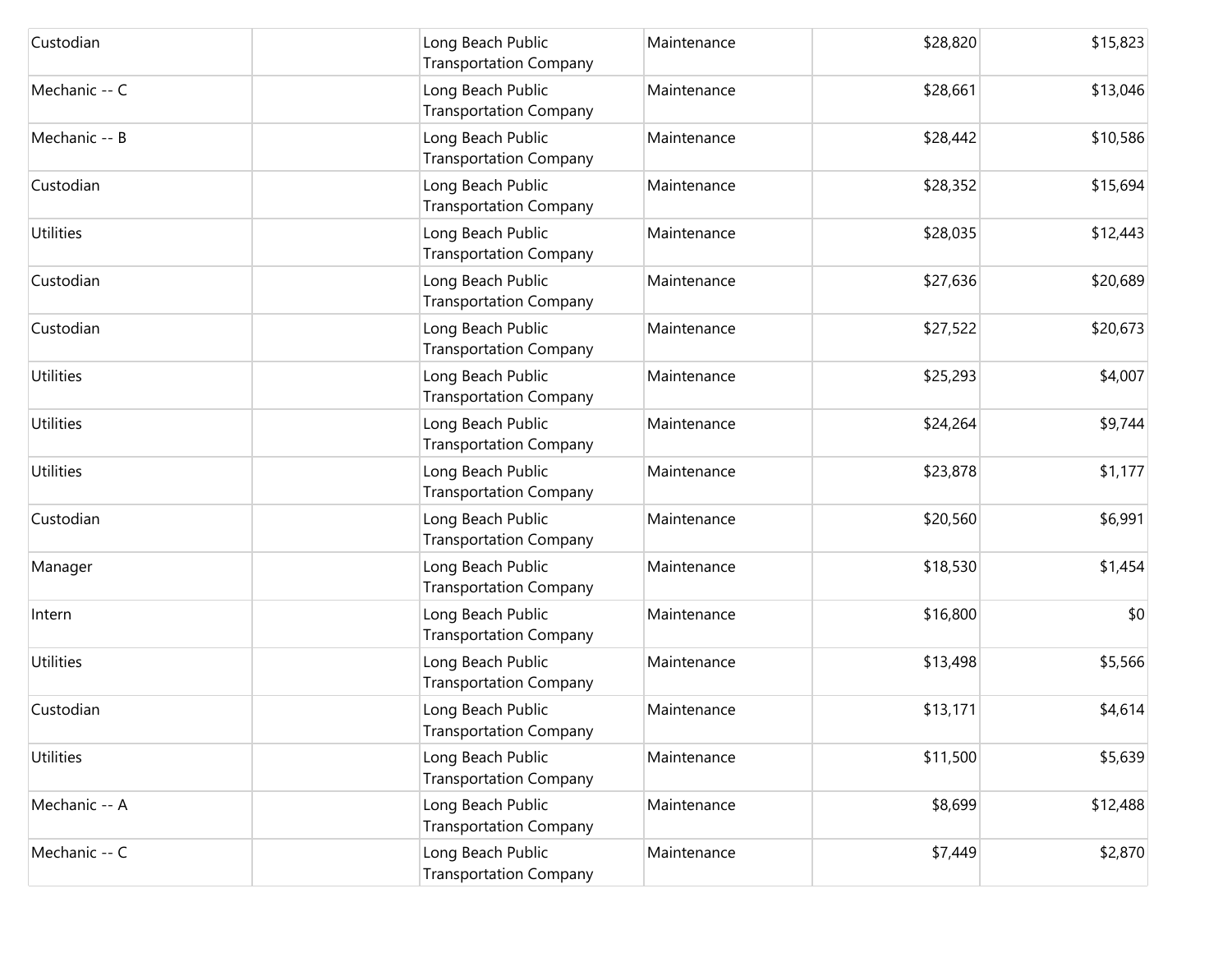| Custodian        | Long Beach Public<br><b>Transportation Company</b> | Maintenance | \$28,820 | \$15,823 |
|------------------|----------------------------------------------------|-------------|----------|----------|
| Mechanic -- C    | Long Beach Public<br><b>Transportation Company</b> | Maintenance | \$28,661 | \$13,046 |
| Mechanic -- B    | Long Beach Public<br><b>Transportation Company</b> | Maintenance | \$28,442 | \$10,586 |
| Custodian        | Long Beach Public<br><b>Transportation Company</b> | Maintenance | \$28,352 | \$15,694 |
| Utilities        | Long Beach Public<br><b>Transportation Company</b> | Maintenance | \$28,035 | \$12,443 |
| Custodian        | Long Beach Public<br><b>Transportation Company</b> | Maintenance | \$27,636 | \$20,689 |
| Custodian        | Long Beach Public<br><b>Transportation Company</b> | Maintenance | \$27,522 | \$20,673 |
| <b>Utilities</b> | Long Beach Public<br><b>Transportation Company</b> | Maintenance | \$25,293 | \$4,007  |
| Utilities        | Long Beach Public<br><b>Transportation Company</b> | Maintenance | \$24,264 | \$9,744  |
| Utilities        | Long Beach Public<br><b>Transportation Company</b> | Maintenance | \$23,878 | \$1,177  |
| Custodian        | Long Beach Public<br><b>Transportation Company</b> | Maintenance | \$20,560 | \$6,991  |
| Manager          | Long Beach Public<br><b>Transportation Company</b> | Maintenance | \$18,530 | \$1,454  |
| Intern           | Long Beach Public<br><b>Transportation Company</b> | Maintenance | \$16,800 | \$0      |
| <b>Utilities</b> | Long Beach Public<br><b>Transportation Company</b> | Maintenance | \$13,498 | \$5,566  |
| Custodian        | Long Beach Public<br><b>Transportation Company</b> | Maintenance | \$13,171 | \$4,614  |
| <b>Utilities</b> | Long Beach Public<br><b>Transportation Company</b> | Maintenance | \$11,500 | \$5,639  |
| Mechanic -- A    | Long Beach Public<br><b>Transportation Company</b> | Maintenance | \$8,699  | \$12,488 |
| Mechanic -- C    | Long Beach Public<br><b>Transportation Company</b> | Maintenance | \$7,449  | \$2,870  |